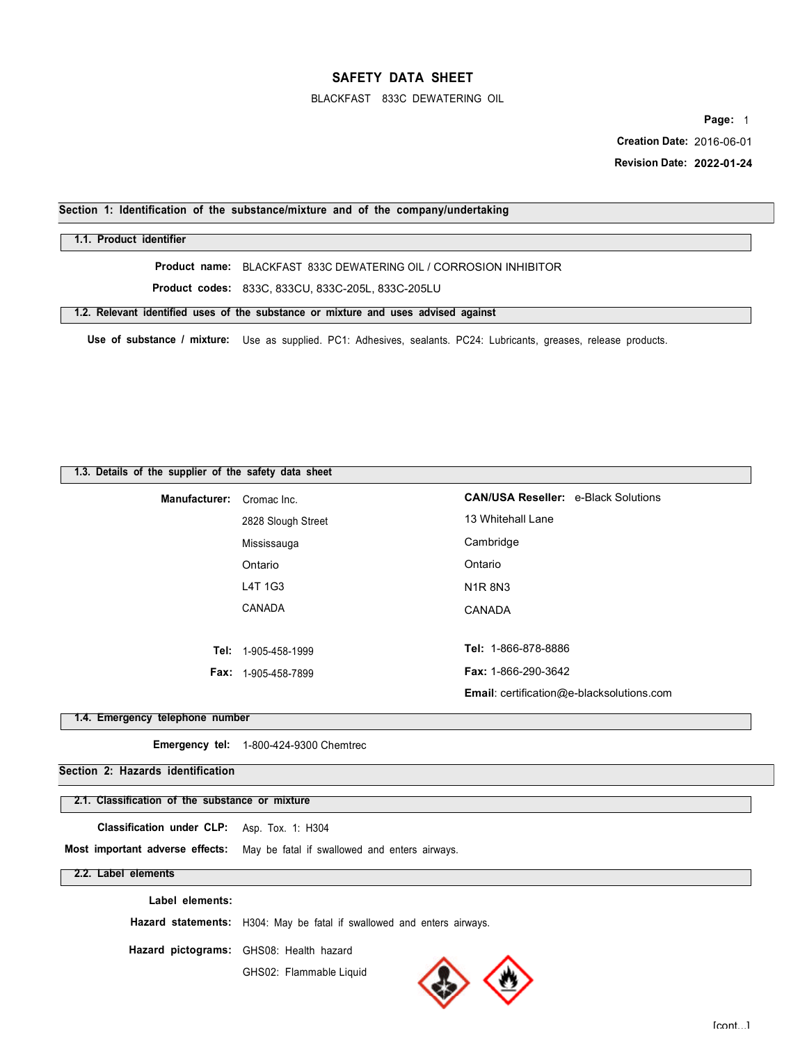#### BLACKFAST 833C DEWATERING OIL

**Page:** 1

 **Creation Date:** 2016-06-01

 **Revision Date: 2022-01-24** 

## **Section 1: Identification of the substance/mixture and of the company/undertaking**

### **1.1. Product identifier**

**Product name:** BLACKFAST 833C DEWATERING OIL / CORROSION INHIBITOR

**Product codes:** 833C, 833CU, 833C-205L, 833C-205LU

**1.2. Relevant identified uses of the substance or mixture and uses advised against** 

**Use of substance / mixture:** Use as supplied. PC1: Adhesives, sealants. PC24: Lubricants, greases, release products.

### **1.3. Details of the supplier of the safety data sheet**

| Manufacturer: Cromac Inc. |                              | <b>CAN/USA Reseller: e-Black Solutions</b>       |
|---------------------------|------------------------------|--------------------------------------------------|
|                           | 2828 Slough Street           | 13 Whitehall Lane                                |
|                           | Mississauga                  | Cambridge                                        |
|                           | Ontario                      | Ontario                                          |
|                           | L4T 1G3                      | <b>N1R8N3</b>                                    |
|                           | CANADA                       | CANADA                                           |
|                           |                              |                                                  |
|                           | <b>Tel:</b> 1-905-458-1999   | Tel: 1-866-878-8886                              |
|                           | <b>Fax:</b> $1-905-458-7899$ | <b>Fax: 1-866-290-3642</b>                       |
|                           |                              | <b>Email:</b> certification@e-blacksolutions.com |

### **1.4. Emergency telephone number**

**Emergency tel:** 1-800-424-9300 Chemtrec

## **Section 2: Hazards identification**

#### **2.1. Classification of the substance or mixture**

**Classification under CLP:** Asp. Tox. 1: H304

**Most important adverse effects:** May be fatal if swallowed and enters airways.

#### **2.2. Label elements**

**Label elements:** 

**Hazard statements:** H304: May be fatal if swallowed and enters airways.

**Hazard pictograms:** GHS08: Health hazard

GHS02: Flammable Liquid

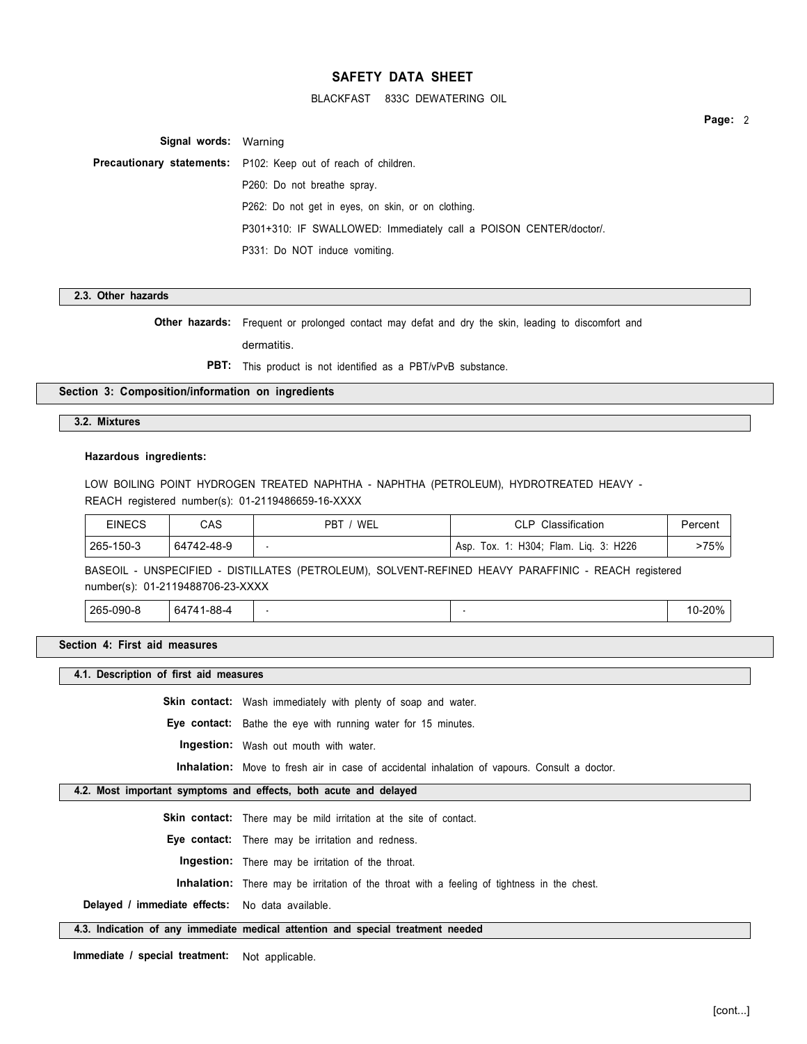BLACKFAST 833C DEWATERING OIL

**Page:** 2

**Signal words:** Warning **Precautionary statements:** P102: Keep out of reach of children. P260: Do not breathe spray. P262: Do not get in eyes, on skin, or on clothing. P301+310: IF SWALLOWED: Immediately call a POISON CENTER/doctor/. P331: Do NOT induce vomiting.

**2.3. Other hazards** 

**Other hazards:** Frequent or prolonged contact may defat and dry the skin, leading to discomfort and

dermatitis.

**PBT:** This product is not identified as a PBT/vPvB substance.

**Section 3: Composition/information on ingredients** 

### **3.2. Mixtures**

#### **Hazardous ingredients:**

LOW BOILING POINT HYDROGEN TREATED NAPHTHA - NAPHTHA (PETROLEUM), HYDROTREATED HEAVY - REACH registered number(s): 01-2119486659-16-XXXX

| EINECS    | CAS        | WEL<br><b>PBT</b> | Classification<br>D                                    | Percent |
|-----------|------------|-------------------|--------------------------------------------------------|---------|
| 265-150-3 | 64742-48-9 |                   | 3: H226<br>1: $H304$ :<br>Flam.<br>Lia.<br>Тох.<br>Asp | -75%    |

BASEOIL - UNSPECIFIED - DISTILLATES (PETROLEUM), SOLVENT-REFINED HEAVY PARAFFINIC - REACH registered number(s): 01-2119488706-23-XXXX

265-090-8 | 64741-88-4 | - 10-20% | - 10-20% | - 10-20% | - 10-20% | - 10-20% | -

**Section 4: First aid measures** 

**4.1. Description of first aid measures** 

**Skin contact:** Wash immediately with plenty of soap and water.

**Eye contact:** Bathe the eye with running water for 15 minutes.

**Ingestion:** Wash out mouth with water.

**Inhalation:** Move to fresh air in case of accidental inhalation of vapours. Consult a doctor.

### **4.2. Most important symptoms and effects, both acute and delayed**

**Skin contact:** There may be mild irritation at the site of contact.

**Eye contact:** There may be irritation and redness.

**Ingestion:** There may be irritation of the throat.

**Inhalation:** There may be irritation of the throat with a feeling of tightness in the chest.

**Delayed / immediate effects:** No data available.

#### **4.3. Indication of any immediate medical attention and special treatment needed**

**Immediate / special treatment:** Not applicable.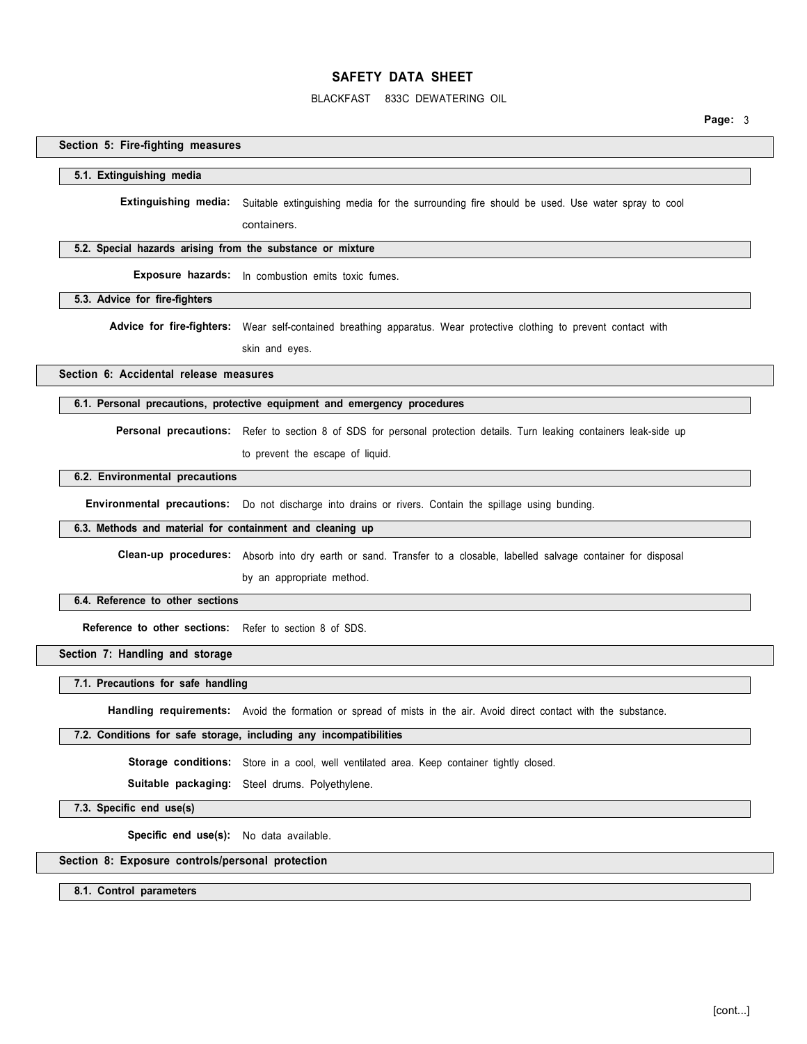#### BLACKFAST 833C DEWATERING OIL

**Page:** 3

## **Section 5: Fire-fighting measures**

# **5.1. Extinguishing media**

**Extinguishing media:** Suitable extinguishing media for the surrounding fire should be used. Use water spray to cool

containers.

#### **5.2. Special hazards arising from the substance or mixture**

**Exposure hazards:** In combustion emits toxic fumes.

**5.3. Advice for fire-fighters** 

Advice for fire-fighters: Wear self-contained breathing apparatus. Wear protective clothing to prevent contact with

skin and eyes.

**Section 6: Accidental release measures** 

#### **6.1. Personal precautions, protective equipment and emergency procedures**

**Personal precautions:** Refer to section 8 of SDS for personal protection details. Turn leaking containers leak-side up

to prevent the escape of liquid.

### **6.2. Environmental precautions**

**Environmental precautions:** Do not discharge into drains or rivers. Contain the spillage using bunding.

#### **6.3. Methods and material for containment and cleaning up**

**Clean-up procedures:** Absorb into dry earth or sand. Transfer to a closable, labelled salvage container for disposal

by an appropriate method.

#### **6.4. Reference to other sections**

**Reference to other sections:** Refer to section 8 of SDS.

## **Section 7: Handling and storage**

**7.1. Precautions for safe handling** 

**Handling requirements:** Avoid the formation or spread of mists in the air. Avoid direct contact with the substance.

#### **7.2. Conditions for safe storage, including any incompatibilities**

Storage conditions: Store in a cool, well ventilated area. Keep container tightly closed.

**Suitable packaging:** Steel drums. Polyethylene.

**7.3. Specific end use(s)** 

**Specific end use(s):** No data available.

#### **Section 8: Exposure controls/personal protection**

**8.1. Control parameters**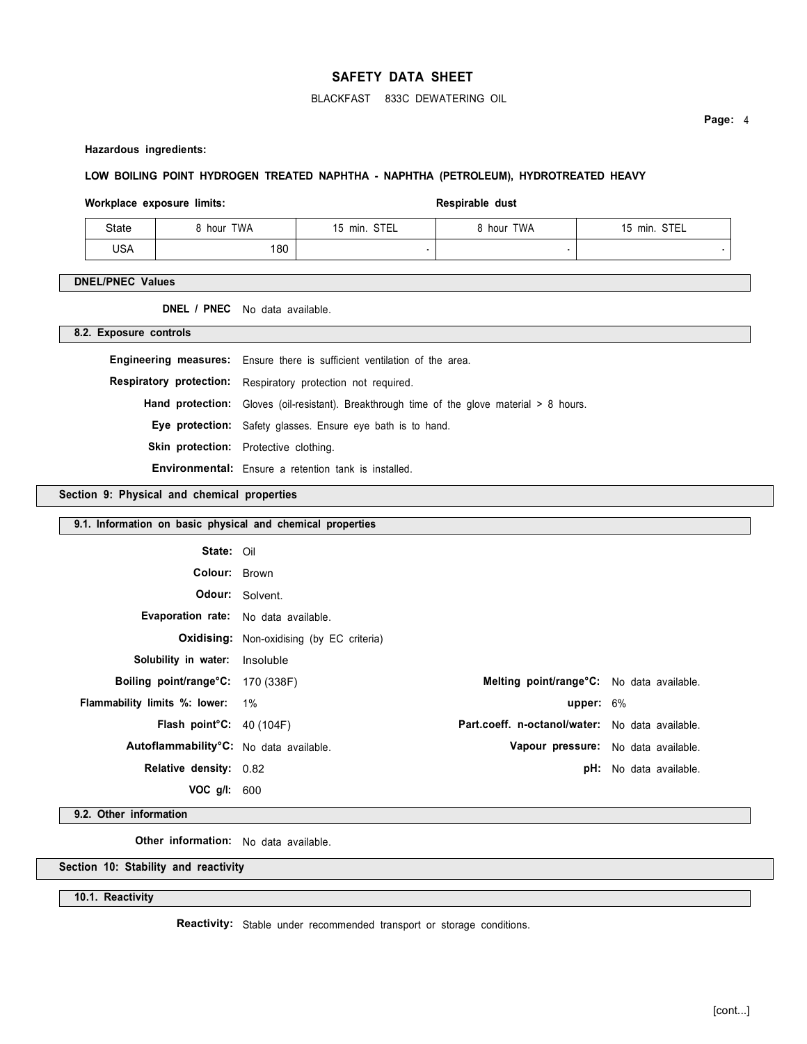### BLACKFAST 833C DEWATERING OIL

**Page:** 4

**Hazardous ingredients:** 

### **LOW BOILING POINT HYDROGEN TREATED NAPHTHA - NAPHTHA (PETROLEUM), HYDROTREATED HEAVY**

#### Workplace exposure limits: **Respirable dust** Respirable dust

| State      | <b>9 hour TWA</b> | 15 min. STEL | 8 hour TWA | 15 min. STEL |
|------------|-------------------|--------------|------------|--------------|
| <b>USA</b> | 180               |              |            |              |

### **DNEL/PNEC Values**

**DNEL / PNEC** No data available.

**8.2. Exposure controls** 

| <b>Engineering measures:</b> Ensure there is sufficient ventilation of the area.                   |
|----------------------------------------------------------------------------------------------------|
| Respiratory protection: Respiratory protection not required.                                       |
| <b>Hand protection:</b> Gloves (oil-resistant). Breakthrough time of the glove material > 8 hours. |
| Eye protection: Safety glasses. Ensure eye bath is to hand.                                        |
| <b>Skin protection:</b> Protective clothing.                                                       |
| <b>Environmental:</b> Ensure a retention tank is installed.                                        |

**Section 9: Physical and chemical properties** 

| 9.1. Information on basic physical and chemical properties |                                                  |                                                 |                               |
|------------------------------------------------------------|--------------------------------------------------|-------------------------------------------------|-------------------------------|
| State: Oil                                                 |                                                  |                                                 |                               |
| Colour: Brown                                              |                                                  |                                                 |                               |
|                                                            | <b>Odour:</b> Solvent.                           |                                                 |                               |
| Evaporation rate: No data available.                       |                                                  |                                                 |                               |
|                                                            | <b>Oxidising:</b> Non-oxidising (by EC criteria) |                                                 |                               |
| <b>Solubility in water:</b> Insoluble                      |                                                  |                                                 |                               |
| Boiling point/range°C: 170 (338F)                          |                                                  | Melting point/range°C: No data available.       |                               |
| <b>Flammability limits %: lower:</b> 1%                    |                                                  | upper: $6\%$                                    |                               |
| Flash point $C: 40(104F)$                                  |                                                  | Part.coeff. n-octanol/water: No data available. |                               |
| Autoflammability°C: No data available.                     |                                                  | Vapour pressure: No data available.             |                               |
| <b>Relative density: 0.82</b>                              |                                                  |                                                 | <b>pH:</b> No data available. |
| VOC g/l: 600                                               |                                                  |                                                 |                               |

**9.2. Other information** 

**Other information:** No data available.

**Section 10: Stability and reactivity** 

**10.1. Reactivity** 

**Reactivity:** Stable under recommended transport or storage conditions.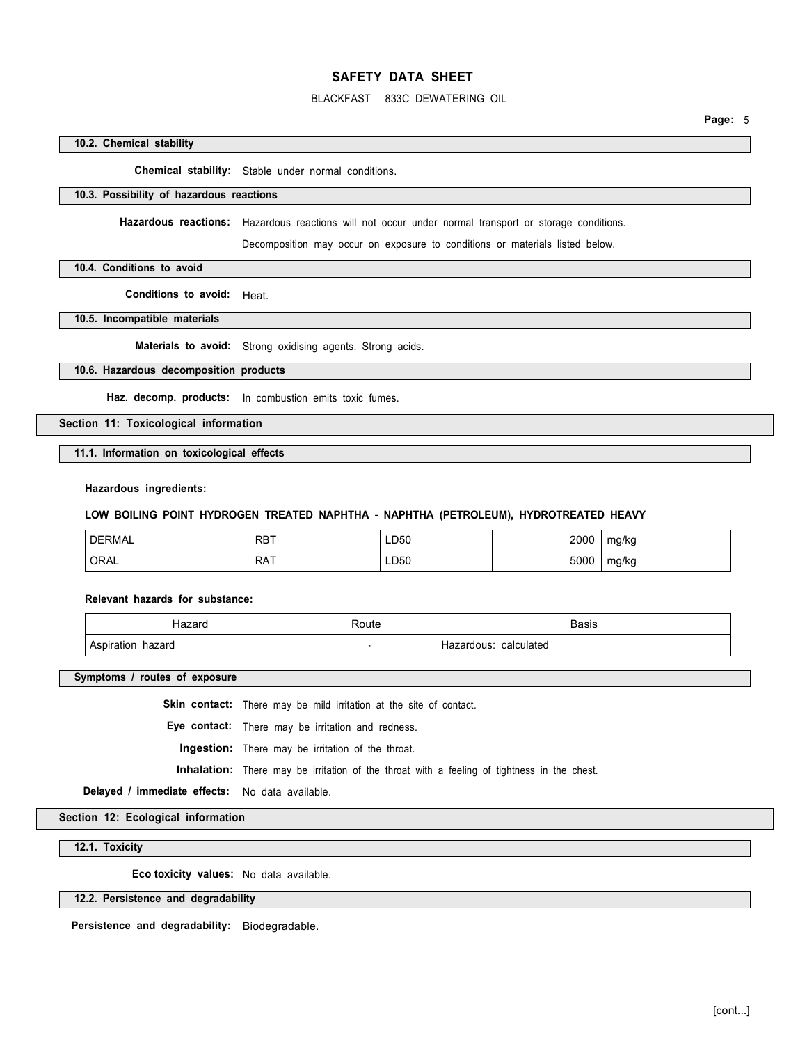### BLACKFAST 833C DEWATERING OIL

#### **10.2. Chemical stability**

**Chemical stability:** Stable under normal conditions.

#### **10.3. Possibility of hazardous reactions**

**Hazardous reactions:** Hazardous reactions will not occur under normal transport or storage conditions.

Decomposition may occur on exposure to conditions or materials listed below.

#### **10.4. Conditions to avoid**

**Conditions to avoid:** Heat.

**10.5. Incompatible materials** 

**Materials to avoid:** Strong oxidising agents. Strong acids.

## **10.6. Hazardous decomposition products**

**Haz. decomp. products:** In combustion emits toxic fumes.

### **Section 11: Toxicological information**

**11.1. Information on toxicological effects** 

#### **Hazardous ingredients:**

#### **LOW BOILING POINT HYDROGEN TREATED NAPHTHA - NAPHTHA (PETROLEUM), HYDROTREATED HEAVY**

| <b>DERMAL</b> | . RBT | LD50 | 2000 | mg/kg |
|---------------|-------|------|------|-------|
| <b>ORAL</b>   | RAT   | ∟D50 | 5000 | mg/kg |

#### **Relevant hazards for substance:**

|                                     | ٦ħ | مىم د<br>Dasis               |
|-------------------------------------|----|------------------------------|
| $\Delta$ cr<br>าazard<br>auor<br>πc |    | <b>ulated</b><br>مادہ<br>ገሀየ |

**Symptoms / routes of exposure** 

Skin contact: There may be mild irritation at the site of contact.

**Eye contact:** There may be irritation and redness.

**Ingestion:** There may be irritation of the throat.

**Inhalation:** There may be irritation of the throat with a feeling of tightness in the chest.

**Delayed / immediate effects:** No data available.

**Section 12: Ecological information** 

**12.1. Toxicity** 

**Eco toxicity values:** No data available.

### **12.2. Persistence and degradability**

**Persistence and degradability:** Biodegradable.